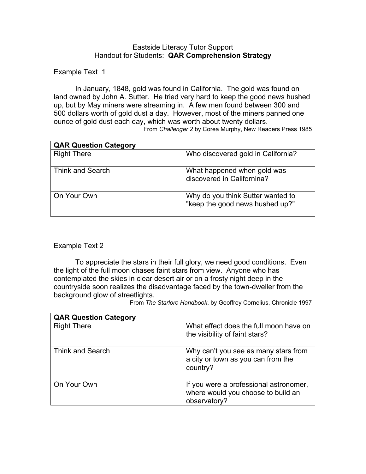## Eastside Literacy Tutor Support Handout for Students: **QAR Comprehension Strategy**

Example Text 1

In January, 1848, gold was found in California. The gold was found on land owned by John A. Sutter. He tried very hard to keep the good news hushed up, but by May miners were streaming in. A few men found between 300 and 500 dollars worth of gold dust a day. However, most of the miners panned one ounce of gold dust each day, which was worth about twenty dollars.

From *Challenger 2* by Corea Murphy, New Readers Press 1985

| <b>QAR Question Category</b> |                                                                      |
|------------------------------|----------------------------------------------------------------------|
| <b>Right There</b>           | Who discovered gold in California?                                   |
| Think and Search             | What happened when gold was<br>discovered in Californina?            |
| On Your Own                  | Why do you think Sutter wanted to<br>"keep the good news hushed up?" |

## Example Text 2

 To appreciate the stars in their full glory, we need good conditions. Even the light of the full moon chases faint stars from view. Anyone who has contemplated the skies in clear desert air or on a frosty night deep in the countryside soon realizes the disadvantage faced by the town-dweller from the background glow of streetlights.

From *The Starlore Handbook*, by Geoffrey Cornelius, Chronicle 1997

| <b>QAR Question Category</b> |                                                                                              |
|------------------------------|----------------------------------------------------------------------------------------------|
| <b>Right There</b>           | What effect does the full moon have on<br>the visibility of faint stars?                     |
| Think and Search             | Why can't you see as many stars from<br>a city or town as you can from the<br>country?       |
| On Your Own                  | If you were a professional astronomer,<br>where would you choose to build an<br>observatory? |